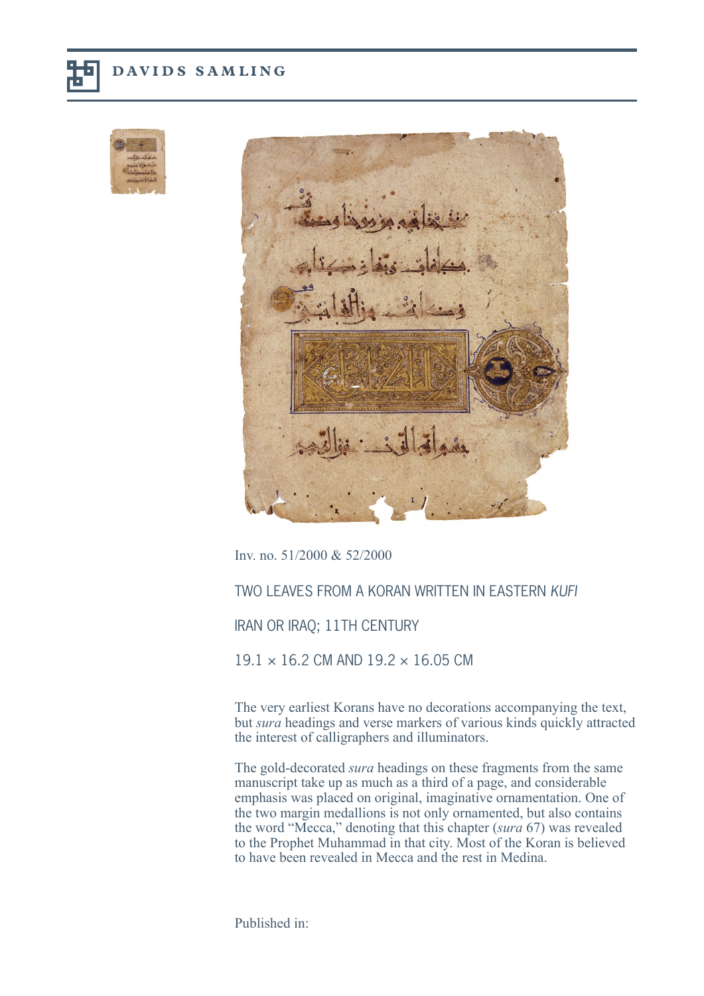





Inv. no. 51/2000 & 52/2000

## TWO LEAVES FROM A KORAN WRITTEN IN EASTERN KUFI

IRAN OR IRAQ; 11TH CENTURY

 $19.1 \times 16.2$  CM AND  $19.2 \times 16.05$  CM

The very earliest Korans have no decorations accompanying the text, but *sura* headings and verse markers of various kinds quickly attracted the interest of calligraphers and illuminators.

The gold-decorated *sura* headings on these fragments from the same manuscript take up as much as a third of a page, and considerable emphasis was placed on original, imaginative ornamentation. One of the two margin medallions is not only ornamented, but also contains the word "Mecca," denoting that this chapter (*sura* 67) was revealed to the Prophet Muhammad in that city. Most of the Koran is believed to have been revealed in Mecca and the rest in Medina.

Published in: